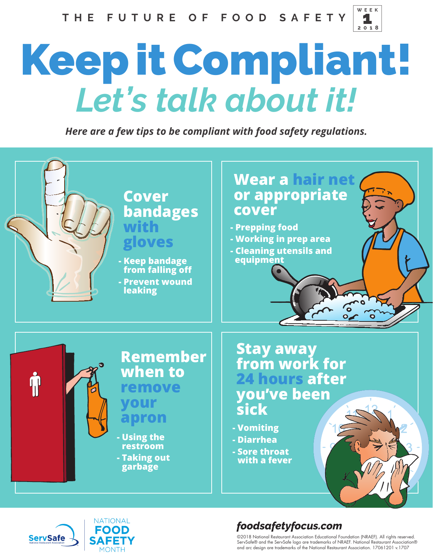

## *Let's talk about it!* Keep it Compliant!

*Here are a few tips to be compliant with food safety regulations.* 





## *foodsafetyfocus.com*

©2018 National Restaurant Association Educational Foundation (NRAEF). All rights reserved. ServSafe® and the ServSafe logo are trademarks of NRAEF. National Restaurant Association® and arc design are trademarks of the National Restaurant Association. 17061201 v.1707